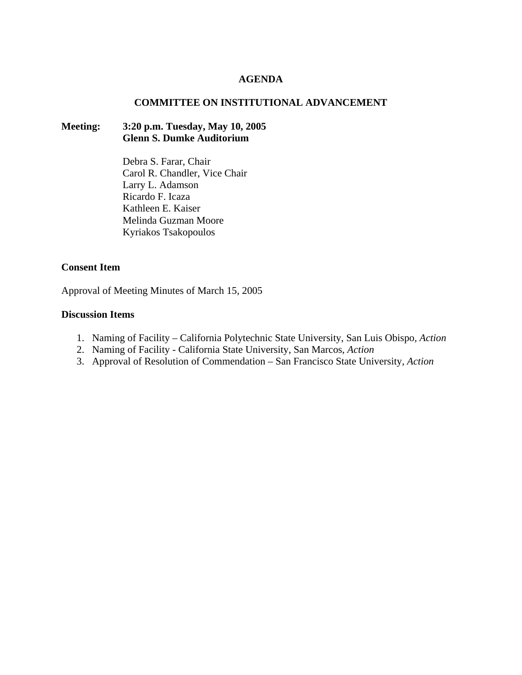### **AGENDA**

### **COMMITTEE ON INSTITUTIONAL ADVANCEMENT**

# **Meeting: 3:20 p.m. Tuesday, May 10, 2005 Glenn S. Dumke Auditorium**

Debra S. Farar, Chair Carol R. Chandler, Vice Chair Larry L. Adamson Ricardo F. Icaza Kathleen E. Kaiser Melinda Guzman Moore Kyriakos Tsakopoulos

### **Consent Item**

Approval of Meeting Minutes of March 15, 2005

# **Discussion Items**

- 1. Naming of Facility California Polytechnic State University, San Luis Obispo*, Action*
- 2. Naming of Facility California State University, San Marcos, *Action*
- 3. Approval of Resolution of Commendation San Francisco State University, *Action*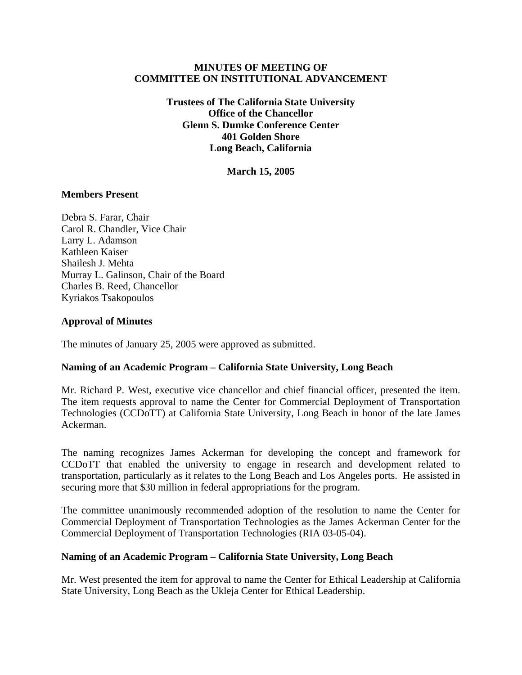# **MINUTES OF MEETING OF COMMITTEE ON INSTITUTIONAL ADVANCEMENT**

**Trustees of The California State University Office of the Chancellor Glenn S. Dumke Conference Center 401 Golden Shore Long Beach, California** 

**March 15, 2005** 

### **Members Present**

Debra S. Farar, Chair Carol R. Chandler, Vice Chair Larry L. Adamson Kathleen Kaiser Shailesh J. Mehta Murray L. Galinson, Chair of the Board Charles B. Reed, Chancellor Kyriakos Tsakopoulos

### **Approval of Minutes**

The minutes of January 25, 2005 were approved as submitted.

# **Naming of an Academic Program – California State University, Long Beach**

Mr. Richard P. West, executive vice chancellor and chief financial officer, presented the item. The item requests approval to name the Center for Commercial Deployment of Transportation Technologies (CCDoTT) at California State University, Long Beach in honor of the late James Ackerman.

The naming recognizes James Ackerman for developing the concept and framework for CCDoTT that enabled the university to engage in research and development related to transportation, particularly as it relates to the Long Beach and Los Angeles ports. He assisted in securing more that \$30 million in federal appropriations for the program.

The committee unanimously recommended adoption of the resolution to name the Center for Commercial Deployment of Transportation Technologies as the James Ackerman Center for the Commercial Deployment of Transportation Technologies (RIA 03-05-04).

#### **Naming of an Academic Program – California State University, Long Beach**

Mr. West presented the item for approval to name the Center for Ethical Leadership at California State University, Long Beach as the Ukleja Center for Ethical Leadership.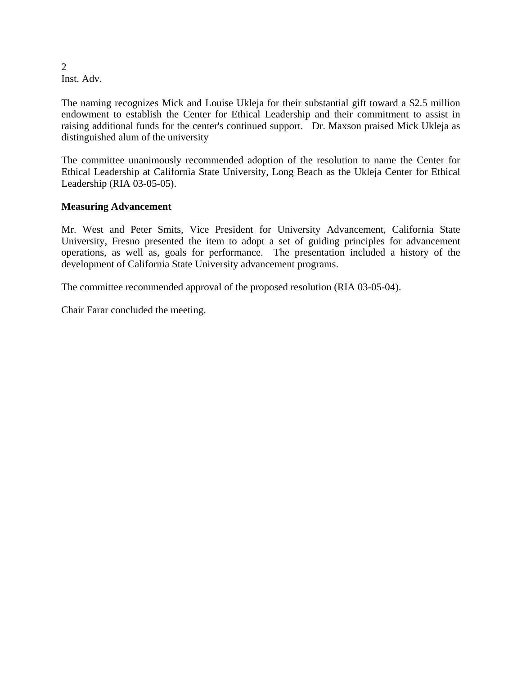2 Inst. Adv.

The naming recognizes Mick and Louise Ukleja for their substantial gift toward a \$2.5 million endowment to establish the Center for Ethical Leadership and their commitment to assist in raising additional funds for the center's continued support. Dr. Maxson praised Mick Ukleja as distinguished alum of the university

The committee unanimously recommended adoption of the resolution to name the Center for Ethical Leadership at California State University, Long Beach as the Ukleja Center for Ethical Leadership (RIA 03-05-05).

# **Measuring Advancement**

Mr. West and Peter Smits, Vice President for University Advancement, California State University, Fresno presented the item to adopt a set of guiding principles for advancement operations, as well as, goals for performance. The presentation included a history of the development of California State University advancement programs.

The committee recommended approval of the proposed resolution (RIA 03-05-04).

Chair Farar concluded the meeting.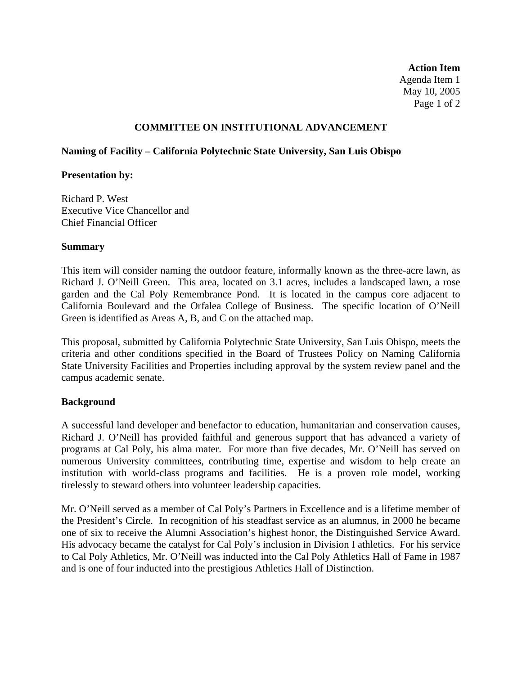**Action Item**  Agenda Item 1 May 10, 2005 Page 1 of 2

# **COMMITTEE ON INSTITUTIONAL ADVANCEMENT**

# **Naming of Facility – California Polytechnic State University, San Luis Obispo**

# **Presentation by:**

Richard P. West Executive Vice Chancellor and Chief Financial Officer

# **Summary**

This item will consider naming the outdoor feature, informally known as the three-acre lawn, as Richard J. O'Neill Green. This area, located on 3.1 acres, includes a landscaped lawn, a rose garden and the Cal Poly Remembrance Pond. It is located in the campus core adjacent to California Boulevard and the Orfalea College of Business. The specific location of O'Neill Green is identified as Areas A, B, and C on the attached map.

This proposal, submitted by California Polytechnic State University, San Luis Obispo, meets the criteria and other conditions specified in the Board of Trustees Policy on Naming California State University Facilities and Properties including approval by the system review panel and the campus academic senate.

# **Background**

A successful land developer and benefactor to education, humanitarian and conservation causes, Richard J. O'Neill has provided faithful and generous support that has advanced a variety of programs at Cal Poly, his alma mater. For more than five decades, Mr. O'Neill has served on numerous University committees, contributing time, expertise and wisdom to help create an institution with world-class programs and facilities. He is a proven role model, working tirelessly to steward others into volunteer leadership capacities.

Mr. O'Neill served as a member of Cal Poly's Partners in Excellence and is a lifetime member of the President's Circle. In recognition of his steadfast service as an alumnus, in 2000 he became one of six to receive the Alumni Association's highest honor, the Distinguished Service Award. His advocacy became the catalyst for Cal Poly's inclusion in Division I athletics. For his service to Cal Poly Athletics, Mr. O'Neill was inducted into the Cal Poly Athletics Hall of Fame in 1987 and is one of four inducted into the prestigious Athletics Hall of Distinction.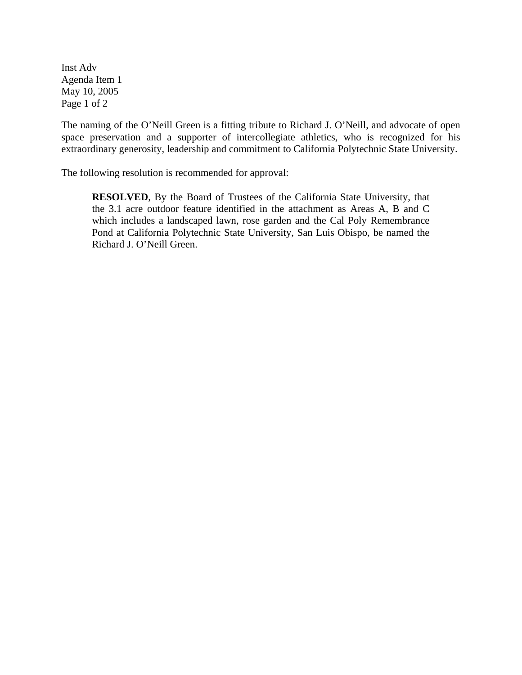Inst Adv Agenda Item 1 May 10, 2005 Page 1 of 2

The naming of the O'Neill Green is a fitting tribute to Richard J. O'Neill, and advocate of open space preservation and a supporter of intercollegiate athletics, who is recognized for his extraordinary generosity, leadership and commitment to California Polytechnic State University.

The following resolution is recommended for approval:

**RESOLVED**, By the Board of Trustees of the California State University, that the 3.1 acre outdoor feature identified in the attachment as Areas A, B and C which includes a landscaped lawn, rose garden and the Cal Poly Remembrance Pond at California Polytechnic State University, San Luis Obispo, be named the Richard J. O'Neill Green.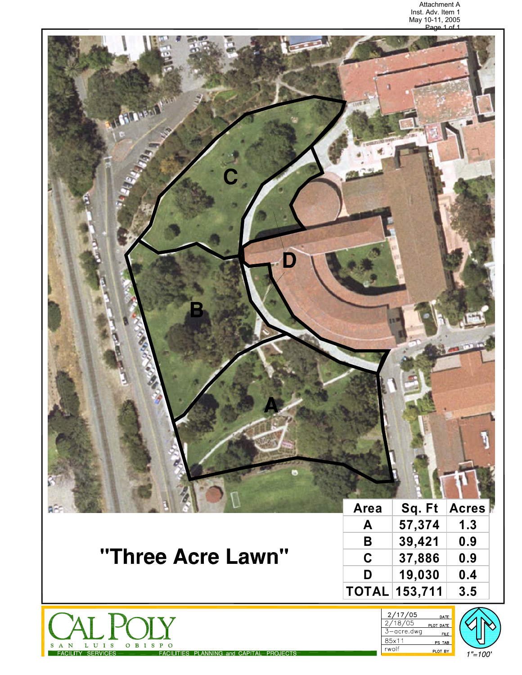

 $A \times N$ 

s

 ${\bf L}$   ${\bf U}$   ${\bf I}$   ${\bf S}$ 

FACILITY SERVICES

 $O$   $B$   $I$   $S$   $P$ 

 $\Omega$ 

FACILITIES PLANNING and CAPITAL PROJECTS

PS TAB

PLOT BY

rwolf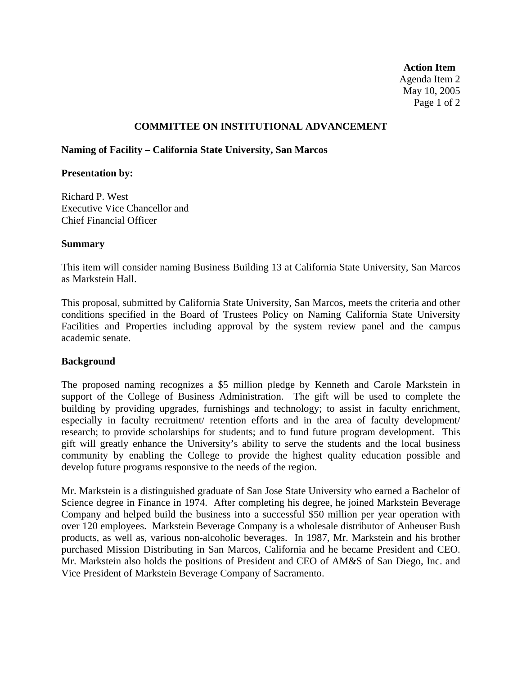**Action Item**  Agenda Item 2 May 10, 2005 Page 1 of 2

### **COMMITTEE ON INSTITUTIONAL ADVANCEMENT**

### **Naming of Facility – California State University, San Marcos**

#### **Presentation by:**

Richard P. West Executive Vice Chancellor and Chief Financial Officer

### **Summary**

This item will consider naming Business Building 13 at California State University, San Marcos as Markstein Hall.

This proposal, submitted by California State University, San Marcos, meets the criteria and other conditions specified in the Board of Trustees Policy on Naming California State University Facilities and Properties including approval by the system review panel and the campus academic senate.

# **Background**

The proposed naming recognizes a \$5 million pledge by Kenneth and Carole Markstein in support of the College of Business Administration. The gift will be used to complete the building by providing upgrades, furnishings and technology; to assist in faculty enrichment, especially in faculty recruitment/ retention efforts and in the area of faculty development/ research; to provide scholarships for students; and to fund future program development. This gift will greatly enhance the University's ability to serve the students and the local business community by enabling the College to provide the highest quality education possible and develop future programs responsive to the needs of the region.

Mr. Markstein is a distinguished graduate of San Jose State University who earned a Bachelor of Science degree in Finance in 1974. After completing his degree, he joined Markstein Beverage Company and helped build the business into a successful \$50 million per year operation with over 120 employees. Markstein Beverage Company is a wholesale distributor of Anheuser Bush products, as well as, various non-alcoholic beverages. In 1987, Mr. Markstein and his brother purchased Mission Distributing in San Marcos, California and he became President and CEO. Mr. Markstein also holds the positions of President and CEO of AM&S of San Diego, Inc. and Vice President of Markstein Beverage Company of Sacramento.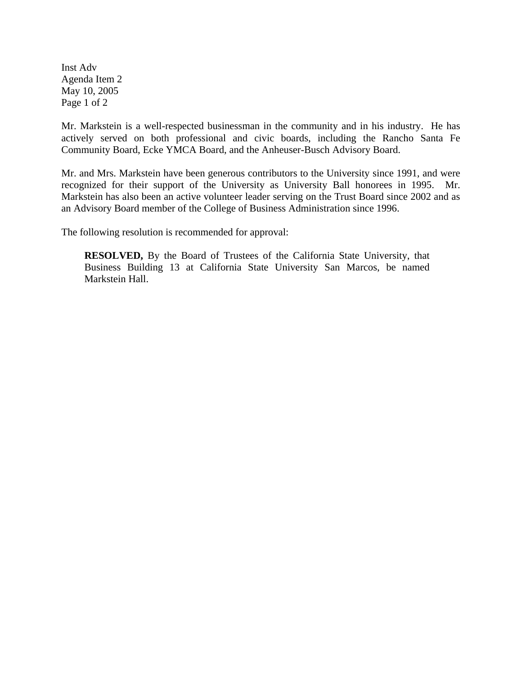Inst Adv Agenda Item 2 May 10, 2005 Page 1 of 2

Mr. Markstein is a well-respected businessman in the community and in his industry. He has actively served on both professional and civic boards, including the Rancho Santa Fe Community Board, Ecke YMCA Board, and the Anheuser-Busch Advisory Board.

Mr. and Mrs. Markstein have been generous contributors to the University since 1991, and were recognized for their support of the University as University Ball honorees in 1995. Mr. Markstein has also been an active volunteer leader serving on the Trust Board since 2002 and as an Advisory Board member of the College of Business Administration since 1996.

The following resolution is recommended for approval:

**RESOLVED,** By the Board of Trustees of the California State University, that Business Building 13 at California State University San Marcos, be named Markstein Hall.